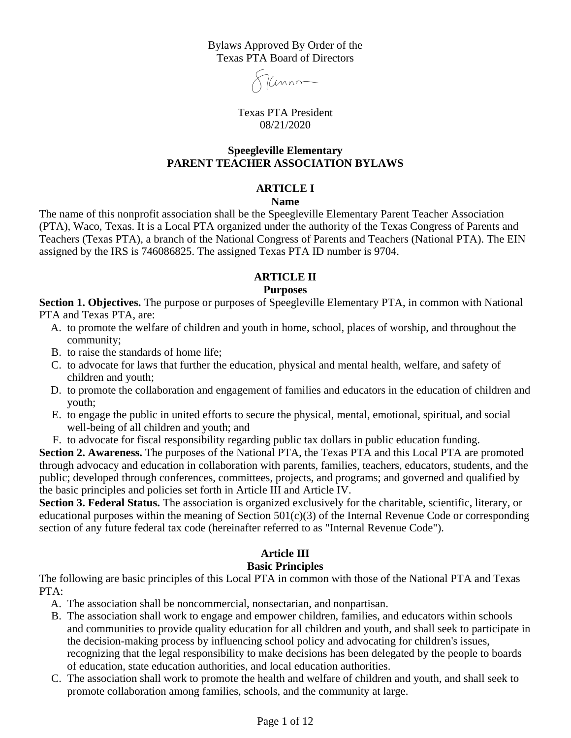Bylaws Approved By Order of the Texas PTA Board of Directors

7 Cunnom

Texas PTA President 08/21/2020

#### **Speegleville Elementary PARENT TEACHER ASSOCIATION BYLAWS**

#### **ARTICLE I**

#### **Name**

The name of this nonprofit association shall be the Speegleville Elementary Parent Teacher Association (PTA), Waco, Texas. It is a Local PTA organized under the authority of the Texas Congress of Parents and Teachers (Texas PTA), a branch of the National Congress of Parents and Teachers (National PTA). The EIN assigned by the IRS is 746086825. The assigned Texas PTA ID number is 9704.

## **ARTICLE II**

#### **Purposes**

**Section 1. Objectives.** The purpose or purposes of Speegleville Elementary PTA, in common with National PTA and Texas PTA, are:

- A. to promote the welfare of children and youth in home, school, places of worship, and throughout the community;
- B. to raise the standards of home life;
- C. to advocate for laws that further the education, physical and mental health, welfare, and safety of children and youth;
- D. to promote the collaboration and engagement of families and educators in the education of children and youth;
- E. to engage the public in united efforts to secure the physical, mental, emotional, spiritual, and social well-being of all children and youth; and
- F. to advocate for fiscal responsibility regarding public tax dollars in public education funding.

**Section 2. Awareness.** The purposes of the National PTA, the Texas PTA and this Local PTA are promoted through advocacy and education in collaboration with parents, families, teachers, educators, students, and the public; developed through conferences, committees, projects, and programs; and governed and qualified by the basic principles and policies set forth in Article III and Article IV.

**Section 3. Federal Status.** The association is organized exclusively for the charitable, scientific, literary, or educational purposes within the meaning of Section  $501(c)(3)$  of the Internal Revenue Code or corresponding section of any future federal tax code (hereinafter referred to as "Internal Revenue Code").

# **Article III**

#### **Basic Principles**

The following are basic principles of this Local PTA in common with those of the National PTA and Texas PTA:

- A. The association shall be noncommercial, nonsectarian, and nonpartisan.
- B. The association shall work to engage and empower children, families, and educators within schools and communities to provide quality education for all children and youth, and shall seek to participate in the decision-making process by influencing school policy and advocating for children's issues, recognizing that the legal responsibility to make decisions has been delegated by the people to boards of education, state education authorities, and local education authorities.
- C. The association shall work to promote the health and welfare of children and youth, and shall seek to promote collaboration among families, schools, and the community at large.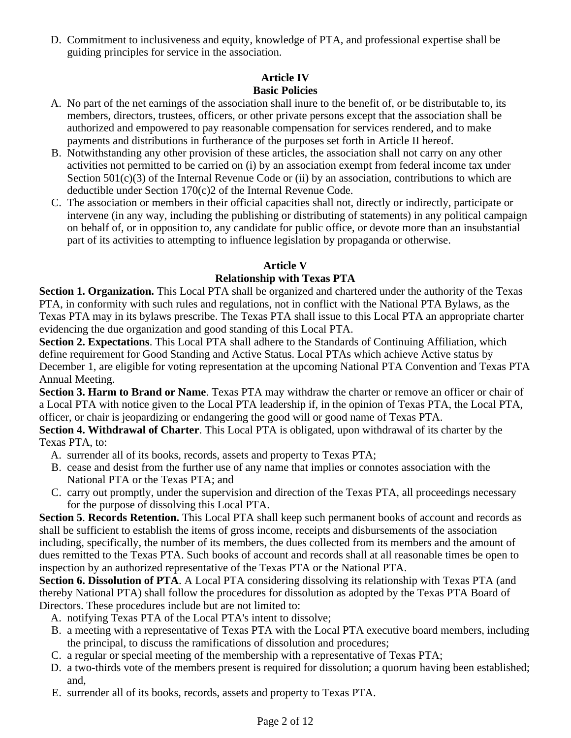D. Commitment to inclusiveness and equity, knowledge of PTA, and professional expertise shall be guiding principles for service in the association.

## **Article IV Basic Policies**

- A. No part of the net earnings of the association shall inure to the benefit of, or be distributable to, its members, directors, trustees, officers, or other private persons except that the association shall be authorized and empowered to pay reasonable compensation for services rendered, and to make payments and distributions in furtherance of the purposes set forth in Article II hereof.
- B. Notwithstanding any other provision of these articles, the association shall not carry on any other activities not permitted to be carried on (i) by an association exempt from federal income tax under Section  $501(c)(3)$  of the Internal Revenue Code or (ii) by an association, contributions to which are deductible under Section 170(c)2 of the Internal Revenue Code.
- C. The association or members in their official capacities shall not, directly or indirectly, participate or intervene (in any way, including the publishing or distributing of statements) in any political campaign on behalf of, or in opposition to, any candidate for public office, or devote more than an insubstantial part of its activities to attempting to influence legislation by propaganda or otherwise.

# **Article V**

# **Relationship with Texas PTA**

**Section 1. Organization.** This Local PTA shall be organized and chartered under the authority of the Texas PTA, in conformity with such rules and regulations, not in conflict with the National PTA Bylaws, as the Texas PTA may in its bylaws prescribe. The Texas PTA shall issue to this Local PTA an appropriate charter evidencing the due organization and good standing of this Local PTA.

**Section 2. Expectations**. This Local PTA shall adhere to the Standards of Continuing Affiliation, which define requirement for Good Standing and Active Status. Local PTAs which achieve Active status by December 1, are eligible for voting representation at the upcoming National PTA Convention and Texas PTA Annual Meeting.

**Section 3. Harm to Brand or Name**. Texas PTA may withdraw the charter or remove an officer or chair of a Local PTA with notice given to the Local PTA leadership if, in the opinion of Texas PTA, the Local PTA, officer, or chair is jeopardizing or endangering the good will or good name of Texas PTA.

**Section 4. Withdrawal of Charter**. This Local PTA is obligated, upon withdrawal of its charter by the Texas PTA, to:

- A. surrender all of its books, records, assets and property to Texas PTA;
- B. cease and desist from the further use of any name that implies or connotes association with the National PTA or the Texas PTA; and
- C. carry out promptly, under the supervision and direction of the Texas PTA, all proceedings necessary for the purpose of dissolving this Local PTA.

**Section 5**. **Records Retention.** This Local PTA shall keep such permanent books of account and records as shall be sufficient to establish the items of gross income, receipts and disbursements of the association including, specifically, the number of its members, the dues collected from its members and the amount of dues remitted to the Texas PTA. Such books of account and records shall at all reasonable times be open to inspection by an authorized representative of the Texas PTA or the National PTA.

**Section 6. Dissolution of PTA**. A Local PTA considering dissolving its relationship with Texas PTA (and thereby National PTA) shall follow the procedures for dissolution as adopted by the Texas PTA Board of Directors. These procedures include but are not limited to:

- A. notifying Texas PTA of the Local PTA's intent to dissolve;
- B. a meeting with a representative of Texas PTA with the Local PTA executive board members, including the principal, to discuss the ramifications of dissolution and procedures;
- C. a regular or special meeting of the membership with a representative of Texas PTA;
- D. a two-thirds vote of the members present is required for dissolution; a quorum having been established; and,
- E. surrender all of its books, records, assets and property to Texas PTA.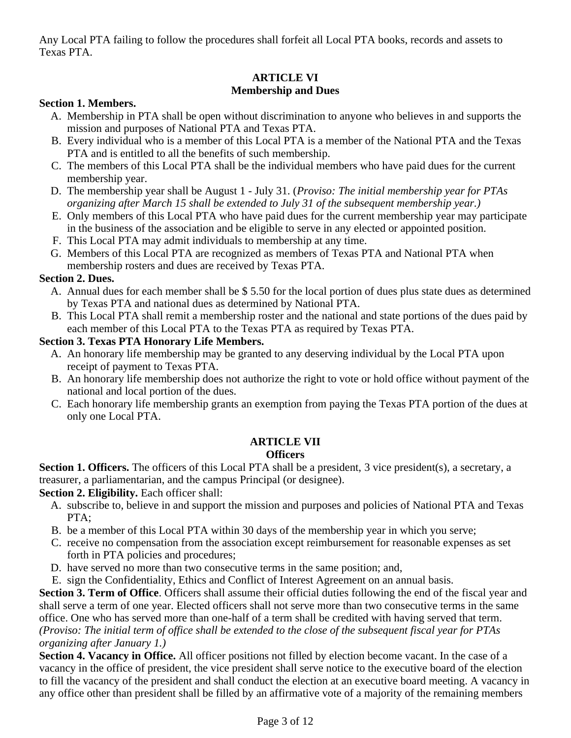Any Local PTA failing to follow the procedures shall forfeit all Local PTA books, records and assets to Texas PTA.

# **ARTICLE VI Membership and Dues**

## **Section 1. Members.**

- A. Membership in PTA shall be open without discrimination to anyone who believes in and supports the mission and purposes of National PTA and Texas PTA.
- B. Every individual who is a member of this Local PTA is a member of the National PTA and the Texas PTA and is entitled to all the benefits of such membership.
- C. The members of this Local PTA shall be the individual members who have paid dues for the current membership year.
- D. The membership year shall be August 1 July 31. (*Proviso: The initial membership year for PTAs organizing after March 15 shall be extended to July 31 of the subsequent membership year.)*
- E. Only members of this Local PTA who have paid dues for the current membership year may participate in the business of the association and be eligible to serve in any elected or appointed position.
- F. This Local PTA may admit individuals to membership at any time.
- G. Members of this Local PTA are recognized as members of Texas PTA and National PTA when membership rosters and dues are received by Texas PTA.

# **Section 2. Dues.**

- A. Annual dues for each member shall be \$ 5.50 for the local portion of dues plus state dues as determined by Texas PTA and national dues as determined by National PTA.
- B. This Local PTA shall remit a membership roster and the national and state portions of the dues paid by each member of this Local PTA to the Texas PTA as required by Texas PTA.

# **Section 3. Texas PTA Honorary Life Members.**

- A. An honorary life membership may be granted to any deserving individual by the Local PTA upon receipt of payment to Texas PTA.
- B. An honorary life membership does not authorize the right to vote or hold office without payment of the national and local portion of the dues.
- C. Each honorary life membership grants an exemption from paying the Texas PTA portion of the dues at only one Local PTA.

# **ARTICLE VII**

# **Officers**

**Section 1. Officers.** The officers of this Local PTA shall be a president, 3 vice president(s), a secretary, a treasurer, a parliamentarian, and the campus Principal (or designee).

**Section 2. Eligibility.** Each officer shall:

- A. subscribe to, believe in and support the mission and purposes and policies of National PTA and Texas PTA;
- B. be a member of this Local PTA within 30 days of the membership year in which you serve;
- C. receive no compensation from the association except reimbursement for reasonable expenses as set forth in PTA policies and procedures;
- D. have served no more than two consecutive terms in the same position; and,
- E. sign the Confidentiality, Ethics and Conflict of Interest Agreement on an annual basis.

**Section 3. Term of Office**. Officers shall assume their official duties following the end of the fiscal year and shall serve a term of one year. Elected officers shall not serve more than two consecutive terms in the same office. One who has served more than one-half of a term shall be credited with having served that term. *(Proviso: The initial term of office shall be extended to the close of the subsequent fiscal year for PTAs organizing after January 1.)*

**Section 4. Vacancy in Office.** All officer positions not filled by election become vacant. In the case of a vacancy in the office of president, the vice president shall serve notice to the executive board of the election to fill the vacancy of the president and shall conduct the election at an executive board meeting. A vacancy in any office other than president shall be filled by an affirmative vote of a majority of the remaining members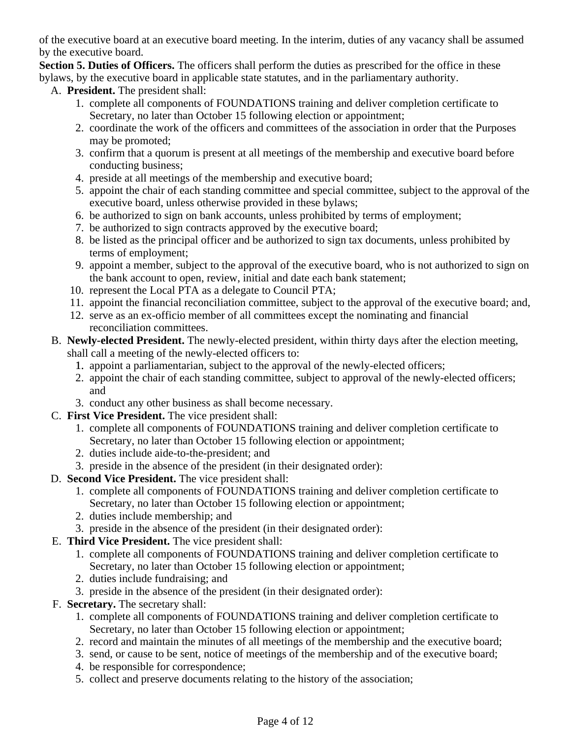of the executive board at an executive board meeting. In the interim, duties of any vacancy shall be assumed by the executive board.

**Section 5. Duties of Officers.** The officers shall perform the duties as prescribed for the office in these bylaws, by the executive board in applicable state statutes, and in the parliamentary authority.

- A. **President.** The president shall:
	- 1. complete all components of FOUNDATIONS training and deliver completion certificate to Secretary, no later than October 15 following election or appointment;
	- 2. coordinate the work of the officers and committees of the association in order that the Purposes may be promoted;
	- 3. confirm that a quorum is present at all meetings of the membership and executive board before conducting business;
	- 4. preside at all meetings of the membership and executive board;
	- 5. appoint the chair of each standing committee and special committee, subject to the approval of the executive board, unless otherwise provided in these bylaws;
	- 6. be authorized to sign on bank accounts, unless prohibited by terms of employment;
	- 7. be authorized to sign contracts approved by the executive board;
	- 8. be listed as the principal officer and be authorized to sign tax documents, unless prohibited by terms of employment;
	- 9. appoint a member, subject to the approval of the executive board, who is not authorized to sign on the bank account to open, review, initial and date each bank statement;
	- 10. represent the Local PTA as a delegate to Council PTA;
	- 11. appoint the financial reconciliation committee, subject to the approval of the executive board; and,
	- 12. serve as an ex-officio member of all committees except the nominating and financial reconciliation committees.
- B. **Newly-elected President.** The newly-elected president, within thirty days after the election meeting, shall call a meeting of the newly-elected officers to:
	- 1. appoint a parliamentarian, subject to the approval of the newly-elected officers;
	- 2. appoint the chair of each standing committee, subject to approval of the newly-elected officers; and
	- 3. conduct any other business as shall become necessary.
- C. **First Vice President.** The vice president shall:
	- 1. complete all components of FOUNDATIONS training and deliver completion certificate to Secretary, no later than October 15 following election or appointment;
	- 2. duties include aide-to-the-president; and
	- 3. preside in the absence of the president (in their designated order):
- D. **Second Vice President.** The vice president shall:
	- 1. complete all components of FOUNDATIONS training and deliver completion certificate to Secretary, no later than October 15 following election or appointment;
	- 2. duties include membership; and
	- 3. preside in the absence of the president (in their designated order):
- E. **Third Vice President.** The vice president shall:
	- 1. complete all components of FOUNDATIONS training and deliver completion certificate to Secretary, no later than October 15 following election or appointment;
	- 2. duties include fundraising; and
	- 3. preside in the absence of the president (in their designated order):
- F. **Secretary.** The secretary shall:
	- 1. complete all components of FOUNDATIONS training and deliver completion certificate to Secretary, no later than October 15 following election or appointment;
	- 2. record and maintain the minutes of all meetings of the membership and the executive board;
	- 3. send, or cause to be sent, notice of meetings of the membership and of the executive board;
	- 4. be responsible for correspondence;
	- 5. collect and preserve documents relating to the history of the association;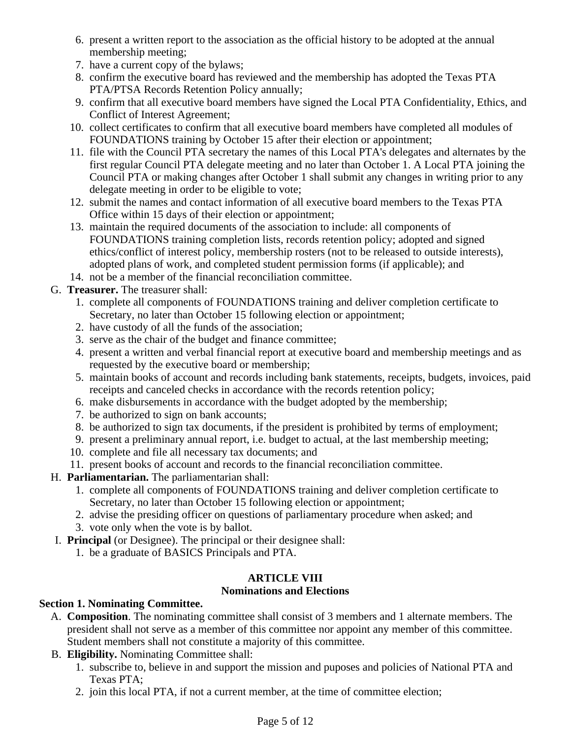- 6. present a written report to the association as the official history to be adopted at the annual membership meeting;
- 7. have a current copy of the bylaws;
- 8. confirm the executive board has reviewed and the membership has adopted the Texas PTA PTA/PTSA Records Retention Policy annually;
- 9. confirm that all executive board members have signed the Local PTA Confidentiality, Ethics, and Conflict of Interest Agreement;
- 10. collect certificates to confirm that all executive board members have completed all modules of FOUNDATIONS training by October 15 after their election or appointment;
- 11. file with the Council PTA secretary the names of this Local PTA's delegates and alternates by the first regular Council PTA delegate meeting and no later than October 1. A Local PTA joining the Council PTA or making changes after October 1 shall submit any changes in writing prior to any delegate meeting in order to be eligible to vote;
- 12. submit the names and contact information of all executive board members to the Texas PTA Office within 15 days of their election or appointment;
- 13. maintain the required documents of the association to include: all components of FOUNDATIONS training completion lists, records retention policy; adopted and signed ethics/conflict of interest policy, membership rosters (not to be released to outside interests), adopted plans of work, and completed student permission forms (if applicable); and
- 14. not be a member of the financial reconciliation committee.
- G. **Treasurer.** The treasurer shall:
	- 1. complete all components of FOUNDATIONS training and deliver completion certificate to Secretary, no later than October 15 following election or appointment;
	- 2. have custody of all the funds of the association;
	- 3. serve as the chair of the budget and finance committee;
	- 4. present a written and verbal financial report at executive board and membership meetings and as requested by the executive board or membership;
	- 5. maintain books of account and records including bank statements, receipts, budgets, invoices, paid receipts and canceled checks in accordance with the records retention policy;
	- 6. make disbursements in accordance with the budget adopted by the membership;
	- 7. be authorized to sign on bank accounts;
	- 8. be authorized to sign tax documents, if the president is prohibited by terms of employment;
	- 9. present a preliminary annual report, i.e. budget to actual, at the last membership meeting;
	- 10. complete and file all necessary tax documents; and
	- 11. present books of account and records to the financial reconciliation committee.
- H. **Parliamentarian.** The parliamentarian shall:
	- 1. complete all components of FOUNDATIONS training and deliver completion certificate to Secretary, no later than October 15 following election or appointment;
	- 2. advise the presiding officer on questions of parliamentary procedure when asked; and
	- 3. vote only when the vote is by ballot.
- I. **Principal** (or Designee). The principal or their designee shall:
	- 1. be a graduate of BASICS Principals and PTA.

# **ARTICLE VIII**

# **Nominations and Elections**

# **Section 1. Nominating Committee.**

- A. **Composition**. The nominating committee shall consist of 3 members and 1 alternate members. The president shall not serve as a member of this committee nor appoint any member of this committee. Student members shall not constitute a majority of this committee.
- B. **Eligibility.** Nominating Committee shall:
	- 1. subscribe to, believe in and support the mission and puposes and policies of National PTA and Texas PTA;
	- 2. join this local PTA, if not a current member, at the time of committee election;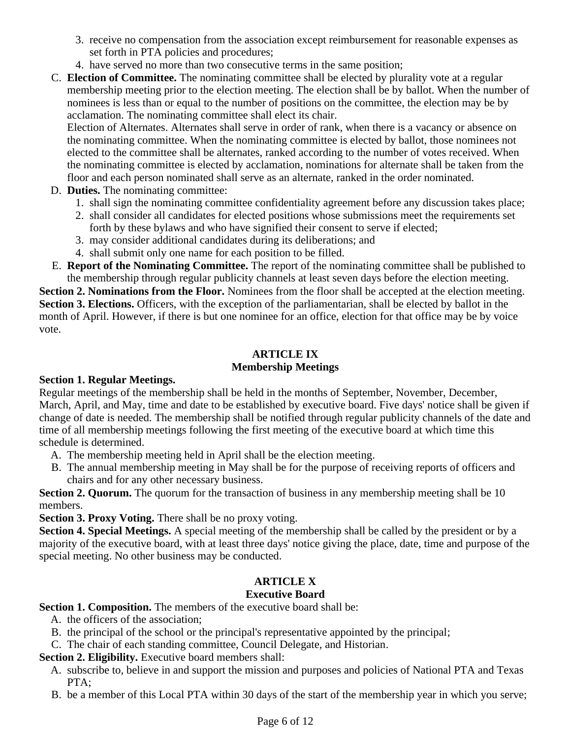- 3. receive no compensation from the association except reimbursement for reasonable expenses as set forth in PTA policies and procedures;
- 4. have served no more than two consecutive terms in the same position;

C. **Election of Committee.** The nominating committee shall be elected by plurality vote at a regular membership meeting prior to the election meeting. The election shall be by ballot. When the number of nominees is less than or equal to the number of positions on the committee, the election may be by acclamation. The nominating committee shall elect its chair.

Election of Alternates. Alternates shall serve in order of rank, when there is a vacancy or absence on the nominating committee. When the nominating committee is elected by ballot, those nominees not elected to the committee shall be alternates, ranked according to the number of votes received. When the nominating committee is elected by acclamation, nominations for alternate shall be taken from the floor and each person nominated shall serve as an alternate, ranked in the order nominated.

- D. **Duties.** The nominating committee:
	- 1. shall sign the nominating committee confidentiality agreement before any discussion takes place;
	- 2. shall consider all candidates for elected positions whose submissions meet the requirements set forth by these bylaws and who have signified their consent to serve if elected;
	- 3. may consider additional candidates during its deliberations; and
	- 4. shall submit only one name for each position to be filled.
- E. **Report of the Nominating Committee.** The report of the nominating committee shall be published to the membership through regular publicity channels at least seven days before the election meeting.

**Section 2. Nominations from the Floor.** Nominees from the floor shall be accepted at the election meeting. **Section 3. Elections.** Officers, with the exception of the parliamentarian, shall be elected by ballot in the month of April. However, if there is but one nominee for an office, election for that office may be by voice vote.

#### **ARTICLE IX Membership Meetings**

# **Section 1. Regular Meetings.**

Regular meetings of the membership shall be held in the months of September, November, December, March, April, and May, time and date to be established by executive board. Five days' notice shall be given if change of date is needed. The membership shall be notified through regular publicity channels of the date and time of all membership meetings following the first meeting of the executive board at which time this schedule is determined.

- A. The membership meeting held in April shall be the election meeting.
- B. The annual membership meeting in May shall be for the purpose of receiving reports of officers and chairs and for any other necessary business.

**Section 2. Quorum.** The quorum for the transaction of business in any membership meeting shall be 10 members.

**Section 3. Proxy Voting.** There shall be no proxy voting.

**Section 4. Special Meetings.** A special meeting of the membership shall be called by the president or by a majority of the executive board, with at least three days' notice giving the place, date, time and purpose of the special meeting. No other business may be conducted.

# **ARTICLE X**

# **Executive Board**

**Section 1. Composition.** The members of the executive board shall be:

- A. the officers of the association;
- B. the principal of the school or the principal's representative appointed by the principal;
- C. The chair of each standing committee, Council Delegate, and Historian.

**Section 2. Eligibility.** Executive board members shall:

- A. subscribe to, believe in and support the mission and purposes and policies of National PTA and Texas PTA;
- B. be a member of this Local PTA within 30 days of the start of the membership year in which you serve;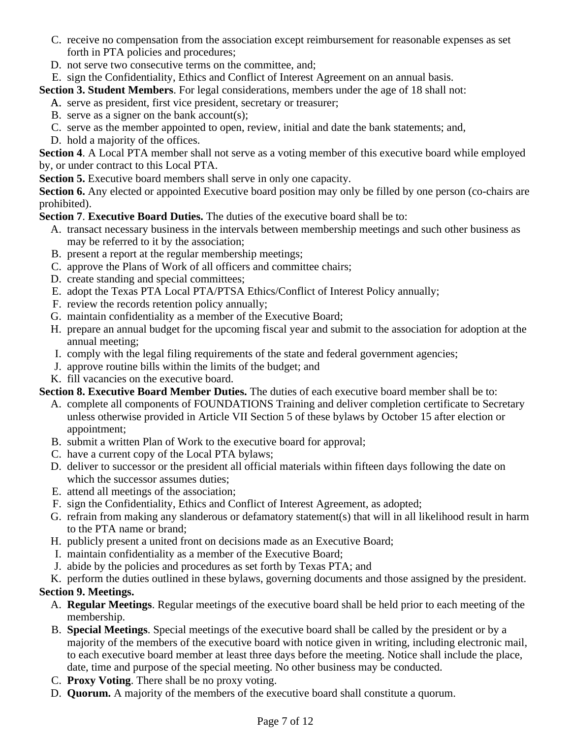- C. receive no compensation from the association except reimbursement for reasonable expenses as set forth in PTA policies and procedures;
- D. not serve two consecutive terms on the committee, and;
- E. sign the Confidentiality, Ethics and Conflict of Interest Agreement on an annual basis.

**Section 3. Student Members**. For legal considerations, members under the age of 18 shall not:

A. serve as president, first vice president, secretary or treasurer;

- B. serve as a signer on the bank account(s);
- C. serve as the member appointed to open, review, initial and date the bank statements; and,
- D. hold a majority of the offices.

**Section 4**. A Local PTA member shall not serve as a voting member of this executive board while employed by, or under contract to this Local PTA.

**Section 5.** Executive board members shall serve in only one capacity.

**Section 6.** Any elected or appointed Executive board position may only be filled by one person (co-chairs are prohibited).

**Section 7**. **Executive Board Duties.** The duties of the executive board shall be to:

- A. transact necessary business in the intervals between membership meetings and such other business as may be referred to it by the association;
- B. present a report at the regular membership meetings;
- C. approve the Plans of Work of all officers and committee chairs;
- D. create standing and special committees;
- E. adopt the Texas PTA Local PTA/PTSA Ethics/Conflict of Interest Policy annually;
- F. review the records retention policy annually;
- G. maintain confidentiality as a member of the Executive Board;
- H. prepare an annual budget for the upcoming fiscal year and submit to the association for adoption at the annual meeting;
- I. comply with the legal filing requirements of the state and federal government agencies;
- J. approve routine bills within the limits of the budget; and
- K. fill vacancies on the executive board.

**Section 8. Executive Board Member Duties.** The duties of each executive board member shall be to:

- A. complete all components of FOUNDATIONS Training and deliver completion certificate to Secretary unless otherwise provided in Article VII Section 5 of these bylaws by October 15 after election or appointment;
- B. submit a written Plan of Work to the executive board for approval;
- C. have a current copy of the Local PTA bylaws;
- D. deliver to successor or the president all official materials within fifteen days following the date on which the successor assumes duties;
- E. attend all meetings of the association;
- F. sign the Confidentiality, Ethics and Conflict of Interest Agreement, as adopted;
- G. refrain from making any slanderous or defamatory statement(s) that will in all likelihood result in harm to the PTA name or brand;
- H. publicly present a united front on decisions made as an Executive Board;
- I. maintain confidentiality as a member of the Executive Board;
- J. abide by the policies and procedures as set forth by Texas PTA; and
- K. perform the duties outlined in these bylaws, governing documents and those assigned by the president.

# **Section 9. Meetings.**

- A. **Regular Meetings**. Regular meetings of the executive board shall be held prior to each meeting of the membership.
- B. **Special Meetings**. Special meetings of the executive board shall be called by the president or by a majority of the members of the executive board with notice given in writing, including electronic mail, to each executive board member at least three days before the meeting. Notice shall include the place, date, time and purpose of the special meeting. No other business may be conducted.
- C. **Proxy Voting**. There shall be no proxy voting.
- D. **Quorum.** A majority of the members of the executive board shall constitute a quorum.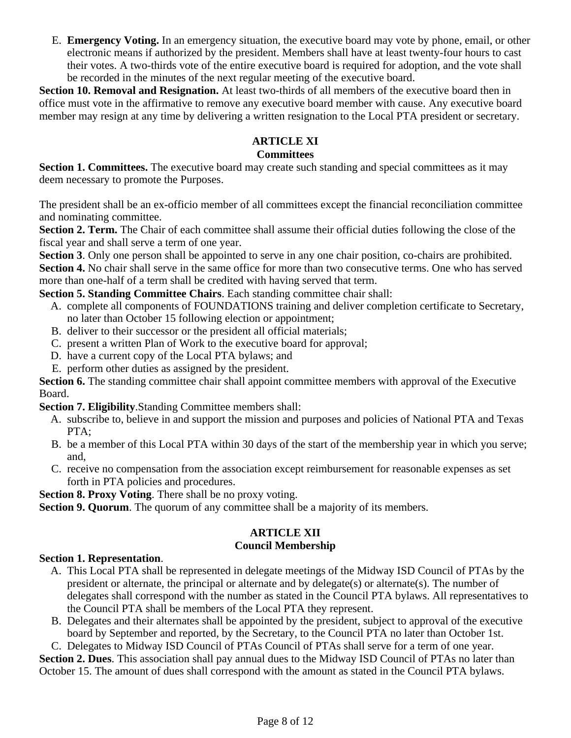E. **Emergency Voting.** In an emergency situation, the executive board may vote by phone, email, or other electronic means if authorized by the president. Members shall have at least twenty-four hours to cast their votes. A two-thirds vote of the entire executive board is required for adoption, and the vote shall be recorded in the minutes of the next regular meeting of the executive board.

**Section 10. Removal and Resignation.** At least two-thirds of all members of the executive board then in office must vote in the affirmative to remove any executive board member with cause. Any executive board member may resign at any time by delivering a written resignation to the Local PTA president or secretary.

# **ARTICLE XI**

#### **Committees**

**Section 1. Committees.** The executive board may create such standing and special committees as it may deem necessary to promote the Purposes.

The president shall be an ex-officio member of all committees except the financial reconciliation committee and nominating committee.

**Section 2. Term.** The Chair of each committee shall assume their official duties following the close of the fiscal year and shall serve a term of one year.

**Section 3**. Only one person shall be appointed to serve in any one chair position, co-chairs are prohibited.

**Section 4.** No chair shall serve in the same office for more than two consecutive terms. One who has served more than one-half of a term shall be credited with having served that term.

**Section 5. Standing Committee Chairs**. Each standing committee chair shall:

- A. complete all components of FOUNDATIONS training and deliver completion certificate to Secretary, no later than October 15 following election or appointment;
- B. deliver to their successor or the president all official materials;
- C. present a written Plan of Work to the executive board for approval;
- D. have a current copy of the Local PTA bylaws; and
- E. perform other duties as assigned by the president.

**Section 6.** The standing committee chair shall appoint committee members with approval of the Executive Board.

**Section 7. Eligibility**.Standing Committee members shall:

- A. subscribe to, believe in and support the mission and purposes and policies of National PTA and Texas PTA;
- B. be a member of this Local PTA within 30 days of the start of the membership year in which you serve; and,
- C. receive no compensation from the association except reimbursement for reasonable expenses as set forth in PTA policies and procedures.

**Section 8. Proxy Voting**. There shall be no proxy voting.

**Section 9. Quorum**. The quorum of any committee shall be a majority of its members.

#### **ARTICLE XII Council Membership**

# **Section 1. Representation**.

- A. This Local PTA shall be represented in delegate meetings of the Midway ISD Council of PTAs by the president or alternate, the principal or alternate and by delegate(s) or alternate(s). The number of delegates shall correspond with the number as stated in the Council PTA bylaws. All representatives to the Council PTA shall be members of the Local PTA they represent.
- B. Delegates and their alternates shall be appointed by the president, subject to approval of the executive board by September and reported, by the Secretary, to the Council PTA no later than October 1st.

C. Delegates to Midway ISD Council of PTAs Council of PTAs shall serve for a term of one year.

**Section 2. Dues**. This association shall pay annual dues to the Midway ISD Council of PTAs no later than October 15. The amount of dues shall correspond with the amount as stated in the Council PTA bylaws.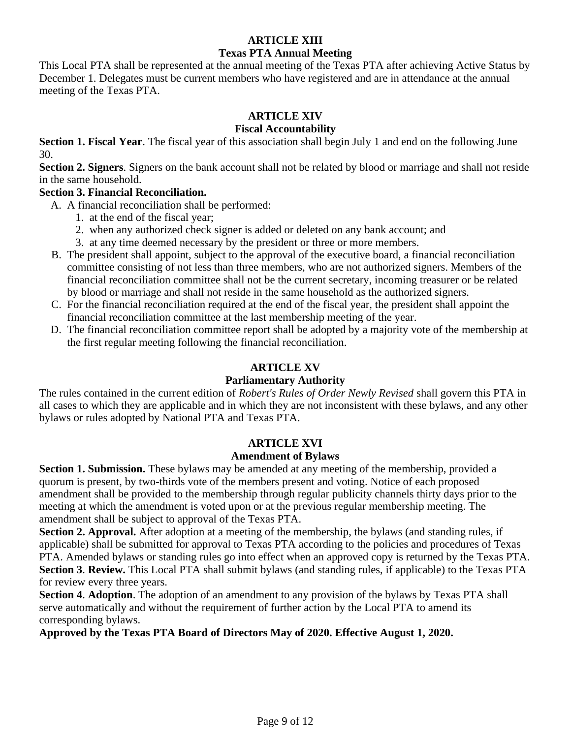# **ARTICLE XIII Texas PTA Annual Meeting**

This Local PTA shall be represented at the annual meeting of the Texas PTA after achieving Active Status by December 1. Delegates must be current members who have registered and are in attendance at the annual meeting of the Texas PTA.

# **ARTICLE XIV**

# **Fiscal Accountability**

**Section 1. Fiscal Year**. The fiscal year of this association shall begin July 1 and end on the following June 30.

**Section 2. Signers**. Signers on the bank account shall not be related by blood or marriage and shall not reside in the same household.

# **Section 3. Financial Reconciliation.**

A. A financial reconciliation shall be performed:

- 1. at the end of the fiscal year;
- 2. when any authorized check signer is added or deleted on any bank account; and
- 3. at any time deemed necessary by the president or three or more members.
- B. The president shall appoint, subject to the approval of the executive board, a financial reconciliation committee consisting of not less than three members, who are not authorized signers. Members of the financial reconciliation committee shall not be the current secretary, incoming treasurer or be related by blood or marriage and shall not reside in the same household as the authorized signers.
- C. For the financial reconciliation required at the end of the fiscal year, the president shall appoint the financial reconciliation committee at the last membership meeting of the year.
- D. The financial reconciliation committee report shall be adopted by a majority vote of the membership at the first regular meeting following the financial reconciliation.

# **ARTICLE XV**

# **Parliamentary Authority**

The rules contained in the current edition of *Robert's Rules of Order Newly Revised* shall govern this PTA in all cases to which they are applicable and in which they are not inconsistent with these bylaws, and any other bylaws or rules adopted by National PTA and Texas PTA.

# **ARTICLE XVI**

# **Amendment of Bylaws**

**Section 1. Submission.** These bylaws may be amended at any meeting of the membership, provided a quorum is present, by two-thirds vote of the members present and voting. Notice of each proposed amendment shall be provided to the membership through regular publicity channels thirty days prior to the meeting at which the amendment is voted upon or at the previous regular membership meeting. The amendment shall be subject to approval of the Texas PTA.

**Section 2. Approval.** After adoption at a meeting of the membership, the bylaws (and standing rules, if applicable) shall be submitted for approval to Texas PTA according to the policies and procedures of Texas PTA. Amended bylaws or standing rules go into effect when an approved copy is returned by the Texas PTA. **Section 3**. **Review.** This Local PTA shall submit bylaws (and standing rules, if applicable) to the Texas PTA for review every three years.

**Section 4**. **Adoption**. The adoption of an amendment to any provision of the bylaws by Texas PTA shall serve automatically and without the requirement of further action by the Local PTA to amend its corresponding bylaws.

**Approved by the Texas PTA Board of Directors May of 2020. Effective August 1, 2020.**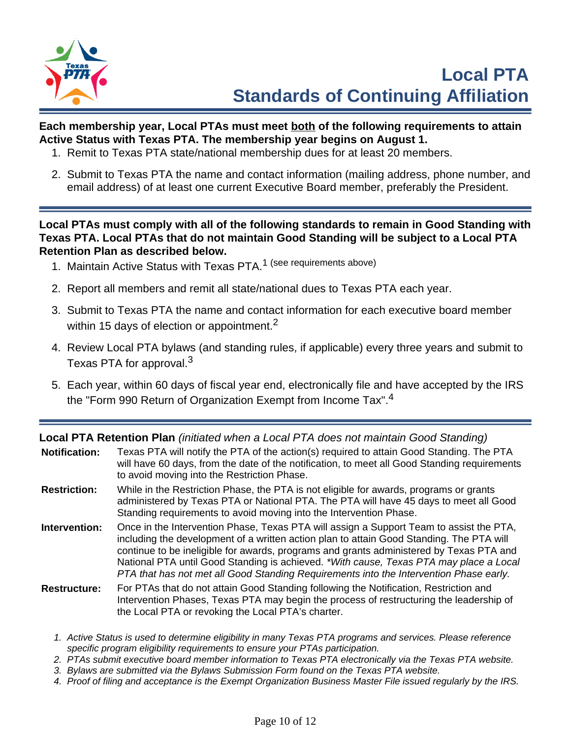

# **Each membership year, Local PTAs must meet both of the following requirements to attain Active Status with Texas PTA. The membership year begins on August 1.**

- 1. Remit to Texas PTA state/national membership dues for at least 20 members.
- 2. Submit to Texas PTA the name and contact information (mailing address, phone number, and email address) of at least one current Executive Board member, preferably the President.

**Local PTAs must comply with all of the following standards to remain in Good Standing with Texas PTA. Local PTAs that do not maintain Good Standing will be subject to a Local PTA Retention Plan as described below.**

- 1. Maintain Active Status with Texas PTA.<sup>1</sup> (see requirements above)
- 2. Report all members and remit all state/national dues to Texas PTA each year.
- 3. Submit to Texas PTA the name and contact information for each executive board member within 15 days of election or appointment.<sup>2</sup>
- 4. Review Local PTA bylaws (and standing rules, if applicable) every three years and submit to Texas PTA for approval.<sup>3</sup>
- 5. Each year, within 60 days of fiscal year end, electronically file and have accepted by the IRS the "Form 990 Return of Organization Exempt from Income Tax".<sup>4</sup>

**Local PTA Retention Plan** (initiated when a Local PTA does not maintain Good Standing)

| <b>Notification:</b> | Texas PTA will notify the PTA of the action(s) required to attain Good Standing. The PTA<br>will have 60 days, from the date of the notification, to meet all Good Standing requirements<br>to avoid moving into the Restriction Phase.                                                                                                                                                                                                                            |
|----------------------|--------------------------------------------------------------------------------------------------------------------------------------------------------------------------------------------------------------------------------------------------------------------------------------------------------------------------------------------------------------------------------------------------------------------------------------------------------------------|
| <b>Restriction:</b>  | While in the Restriction Phase, the PTA is not eligible for awards, programs or grants<br>administered by Texas PTA or National PTA. The PTA will have 45 days to meet all Good<br>Standing requirements to avoid moving into the Intervention Phase.                                                                                                                                                                                                              |
| Intervention:        | Once in the Intervention Phase, Texas PTA will assign a Support Team to assist the PTA,<br>including the development of a written action plan to attain Good Standing. The PTA will<br>continue to be ineligible for awards, programs and grants administered by Texas PTA and<br>National PTA until Good Standing is achieved. *With cause, Texas PTA may place a Local<br>PTA that has not met all Good Standing Requirements into the Intervention Phase early. |
| <b>Restructure:</b>  | For PTAs that do not attain Good Standing following the Notification, Restriction and<br>Intervention Phases, Texas PTA may begin the process of restructuring the leadership of<br>the Local PTA or revoking the Local PTA's charter.                                                                                                                                                                                                                             |

- 1. Active Status is used to determine eligibility in many Texas PTA programs and services. Please reference specific program eligibility requirements to ensure your PTAs participation.
- 2. PTAs submit executive board member information to Texas PTA electronically via the Texas PTA website.
- 3. Bylaws are submitted via the Bylaws Submission Form found on the Texas PTA website.
- 4. Proof of filing and acceptance is the Exempt Organization Business Master File issued regularly by the IRS.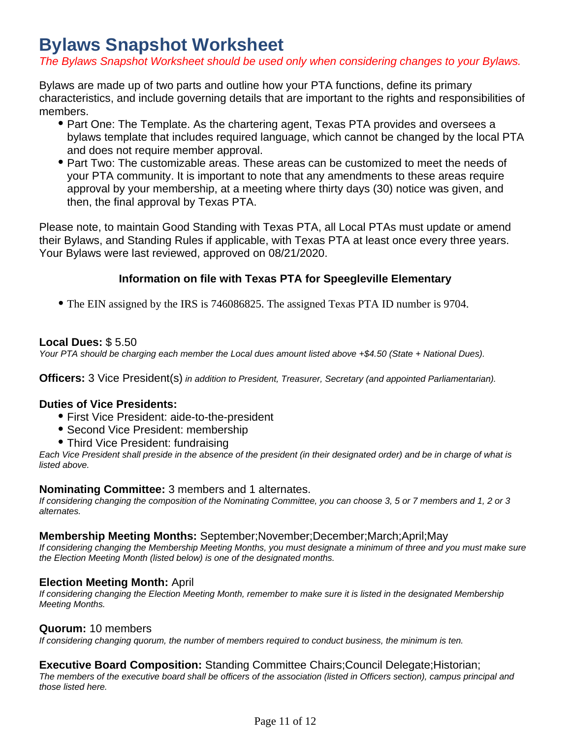# **Bylaws Snapshot Worksheet**

The Bylaws Snapshot Worksheet should be used only when considering changes to your Bylaws.

Bylaws are made up of two parts and outline how your PTA functions, define its primary characteristics, and include governing details that are important to the rights and responsibilities of members.

- Part One: The Template. As the chartering agent, Texas PTA provides and oversees a bylaws template that includes required language, which cannot be changed by the local PTA and does not require member approval.
- Part Two: The customizable areas. These areas can be customized to meet the needs of your PTA community. It is important to note that any amendments to these areas require approval by your membership, at a meeting where thirty days (30) notice was given, and then, the final approval by Texas PTA.

Please note, to maintain Good Standing with Texas PTA, all Local PTAs must update or amend their Bylaws, and Standing Rules if applicable, with Texas PTA at least once every three years. Your Bylaws were last reviewed, approved on 08/21/2020.

# **Information on file with Texas PTA for Speegleville Elementary**

The EIN assigned by the IRS is 746086825. The assigned Texas PTA ID number is 9704.

# **Local Dues:** \$ 5.50

Your PTA should be charging each member the Local dues amount listed above +\$4.50 (State + National Dues).

**Officers:** 3 Vice President(s) in addition to President, Treasurer, Secretary (and appointed Parliamentarian).

# **Duties of Vice Presidents:**

- First Vice President: aide-to-the-president
- **Second Vice President: membership**
- Third Vice President: fundraising

Each Vice President shall preside in the absence of the president (in their designated order) and be in charge of what is listed above.

# **Nominating Committee:** 3 members and 1 alternates.

If considering changing the composition of the Nominating Committee, you can choose 3, 5 or 7 members and 1, 2 or 3 alternates.

# **Membership Meeting Months:** September;November;December;March;April;May

If considering changing the Membership Meeting Months, you must designate a minimum of three and you must make sure the Election Meeting Month (listed below) is one of the designated months.

# **Election Meeting Month:** April

If considering changing the Election Meeting Month, remember to make sure it is listed in the designated Membership Meeting Months.

# **Quorum:** 10 members

If considering changing quorum, the number of members required to conduct business, the minimum is ten.

# **Executive Board Composition:** Standing Committee Chairs; Council Delegate; Historian;

The members of the executive board shall be officers of the association (listed in Officers section), campus principal and those listed here.